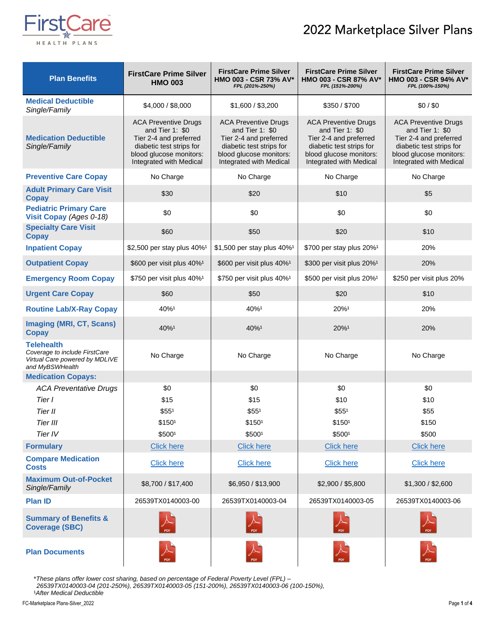## 2022 Marketplace Silver Plans



| <b>Plan Benefits</b>                                                                             | <b>FirstCare Prime Silver</b><br><b>HMO 003</b>                                                                                                            | <b>FirstCare Prime Silver</b><br>HMO 003 - CSR 73% AV*<br>FPL (201%-250%)                                                                                  | <b>FirstCare Prime Silver</b><br>HMO 003 - CSR 87% AV*<br>FPL (151%-200%)                                                                                  | <b>FirstCare Prime Silver</b><br>HMO 003 - CSR 94% AV*<br>FPL (100%-150%)                                                                                   |
|--------------------------------------------------------------------------------------------------|------------------------------------------------------------------------------------------------------------------------------------------------------------|------------------------------------------------------------------------------------------------------------------------------------------------------------|------------------------------------------------------------------------------------------------------------------------------------------------------------|-------------------------------------------------------------------------------------------------------------------------------------------------------------|
| <b>Medical Deductible</b><br>Single/Family                                                       | \$4,000 / \$8,000                                                                                                                                          | \$1,600 / \$3,200                                                                                                                                          | \$350/\$700                                                                                                                                                | \$0/\$0                                                                                                                                                     |
| <b>Medication Deductible</b><br>Single/Family                                                    | <b>ACA Preventive Drugs</b><br>and Tier 1: \$0<br>Tier 2-4 and preferred<br>diabetic test strips for<br>blood glucose monitors:<br>Integrated with Medical | <b>ACA Preventive Drugs</b><br>and Tier 1: \$0<br>Tier 2-4 and preferred<br>diabetic test strips for<br>blood glucose monitors:<br>Integrated with Medical | <b>ACA Preventive Drugs</b><br>and Tier 1: \$0<br>Tier 2-4 and preferred<br>diabetic test strips for<br>blood glucose monitors:<br>Integrated with Medical | <b>ACA Preventive Drugs</b><br>and Tier 1: $$0$<br>Tier 2-4 and preferred<br>diabetic test strips for<br>blood glucose monitors:<br>Integrated with Medical |
| <b>Preventive Care Copay</b>                                                                     | No Charge                                                                                                                                                  | No Charge                                                                                                                                                  | No Charge                                                                                                                                                  | No Charge                                                                                                                                                   |
| <b>Adult Primary Care Visit</b><br><b>Copay</b>                                                  | \$30                                                                                                                                                       | \$20                                                                                                                                                       | \$10                                                                                                                                                       | \$5                                                                                                                                                         |
| <b>Pediatric Primary Care</b><br>Visit Copay (Ages 0-18)                                         | \$0                                                                                                                                                        | \$0                                                                                                                                                        | \$0                                                                                                                                                        | \$0                                                                                                                                                         |
| <b>Specialty Care Visit</b><br><b>Copay</b>                                                      | \$60                                                                                                                                                       | \$50                                                                                                                                                       | \$20                                                                                                                                                       | \$10                                                                                                                                                        |
| <b>Inpatient Copay</b>                                                                           | \$2,500 per stay plus 40% <sup>1</sup>                                                                                                                     | \$1,500 per stay plus 40% <sup>1</sup>                                                                                                                     | 20%<br>\$700 per stay plus 20% <sup>1</sup>                                                                                                                |                                                                                                                                                             |
| <b>Outpatient Copay</b>                                                                          | \$600 per visit plus 40% <sup>1</sup>                                                                                                                      | \$600 per visit plus 40% <sup>1</sup>                                                                                                                      | \$300 per visit plus 20% <sup>1</sup>                                                                                                                      | 20%                                                                                                                                                         |
| <b>Emergency Room Copay</b>                                                                      | \$750 per visit plus 40% <sup>1</sup>                                                                                                                      | \$750 per visit plus 40% <sup>1</sup>                                                                                                                      | \$500 per visit plus 20% <sup>1</sup>                                                                                                                      | \$250 per visit plus 20%                                                                                                                                    |
| <b>Urgent Care Copay</b>                                                                         | \$60                                                                                                                                                       | \$50                                                                                                                                                       | \$20                                                                                                                                                       | \$10                                                                                                                                                        |
| <b>Routine Lab/X-Ray Copay</b>                                                                   | 40%1                                                                                                                                                       | 40%1                                                                                                                                                       | 20%1                                                                                                                                                       | 20%                                                                                                                                                         |
| <b>Imaging (MRI, CT, Scans)</b><br><b>Copay</b>                                                  | 40%1                                                                                                                                                       | 40%1                                                                                                                                                       | 20%1                                                                                                                                                       | 20%                                                                                                                                                         |
| Telehealth<br>Coverage to include FirstCare<br>Virtual Care powered by MDLIVE<br>and MyBSWHealth | No Charge                                                                                                                                                  | No Charge                                                                                                                                                  | No Charge                                                                                                                                                  | No Charge                                                                                                                                                   |
| <b>Medication Copays:</b>                                                                        |                                                                                                                                                            |                                                                                                                                                            |                                                                                                                                                            |                                                                                                                                                             |
| <b>ACA Preventative Drugs</b>                                                                    | \$0                                                                                                                                                        | \$0                                                                                                                                                        | \$0                                                                                                                                                        | \$0                                                                                                                                                         |
| Tier I                                                                                           | \$15                                                                                                                                                       | \$15                                                                                                                                                       | \$10                                                                                                                                                       | \$10                                                                                                                                                        |
| Tier II                                                                                          | \$55 <sup>1</sup>                                                                                                                                          | \$55 <sup>1</sup>                                                                                                                                          | \$55 <sup>1</sup>                                                                                                                                          | \$55                                                                                                                                                        |
| Tier III                                                                                         | \$150 <sup>1</sup>                                                                                                                                         | \$150 <sup>1</sup>                                                                                                                                         | \$1501                                                                                                                                                     | \$150                                                                                                                                                       |
| Tier IV<br><b>Formulary</b>                                                                      | \$5001<br><b>Click here</b>                                                                                                                                | \$5001<br><b>Click here</b>                                                                                                                                | \$5001<br><b>Click here</b>                                                                                                                                | \$500<br><b>Click here</b>                                                                                                                                  |
| <b>Compare Medication</b><br><b>Costs</b>                                                        | <b>Click here</b>                                                                                                                                          | <b>Click here</b>                                                                                                                                          | <b>Click here</b>                                                                                                                                          | <b>Click here</b>                                                                                                                                           |
| <b>Maximum Out-of-Pocket</b><br>Single/Family                                                    | \$8,700 / \$17,400                                                                                                                                         | \$6,950 / \$13,900                                                                                                                                         | \$2,900 / \$5,800                                                                                                                                          | \$1,300 / \$2,600                                                                                                                                           |
| <b>Plan ID</b>                                                                                   | 26539TX0140003-00                                                                                                                                          | 26539TX0140003-04                                                                                                                                          | 26539TX0140003-05                                                                                                                                          | 26539TX0140003-06                                                                                                                                           |
| <b>Summary of Benefits &amp;</b><br><b>Coverage (SBC)</b>                                        | $\overline{\mathcal{L}}$ PDF                                                                                                                               |                                                                                                                                                            |                                                                                                                                                            |                                                                                                                                                             |
| <b>Plan Documents</b>                                                                            | PDF                                                                                                                                                        | PDF                                                                                                                                                        |                                                                                                                                                            |                                                                                                                                                             |

\**These plans offer lower cost sharing, based on percentage of Federal Poverty Level (FPL) –*

*26539TX0140003-04 (201-250%), 26539TX0140003-05 (151-200%), 26539TX0140003-06 (100-150%),*  ¹*After Medical Deductible*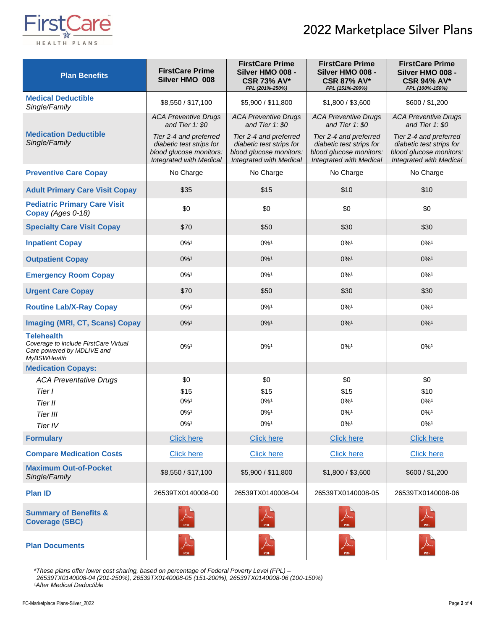## 2022 Marketplace Silver Plans



| <b>Plan Benefits</b>                                                                                           | <b>FirstCare Prime</b><br>Silver HMO 008                                                                        | <b>FirstCare Prime</b><br>Silver HMO 008 -<br><b>CSR 73% AV*</b><br>FPL (201%-250%)                             | <b>FirstCare Prime</b><br>Silver HMO 008 -<br><b>CSR 87% AV*</b><br>FPL (151%-200%)                             | <b>FirstCare Prime</b><br>Silver HMO 008 -<br><b>CSR 94% AV*</b><br>FPL (100%-150%)                             |
|----------------------------------------------------------------------------------------------------------------|-----------------------------------------------------------------------------------------------------------------|-----------------------------------------------------------------------------------------------------------------|-----------------------------------------------------------------------------------------------------------------|-----------------------------------------------------------------------------------------------------------------|
| <b>Medical Deductible</b><br>Single/Family                                                                     | \$8,550 / \$17,100                                                                                              | \$5,900 / \$11,800                                                                                              | \$1,800 / \$3,600                                                                                               | \$600 / \$1,200                                                                                                 |
|                                                                                                                | <b>ACA Preventive Drugs</b><br>and Tier 1: \$0                                                                  | <b>ACA Preventive Drugs</b><br>and Tier 1: \$0                                                                  | <b>ACA Preventive Drugs</b><br>and Tier 1: \$0                                                                  | <b>ACA Preventive Drugs</b><br>and Tier $1: $0$                                                                 |
| <b>Medication Deductible</b><br>Single/Family                                                                  | Tier 2-4 and preferred<br>diabetic test strips for<br>blood glucose monitors:<br><b>Integrated with Medical</b> | Tier 2-4 and preferred<br>diabetic test strips for<br>blood glucose monitors:<br><b>Integrated with Medical</b> | Tier 2-4 and preferred<br>diabetic test strips for<br>blood glucose monitors:<br><b>Integrated with Medical</b> | Tier 2-4 and preferred<br>diabetic test strips for<br>blood glucose monitors:<br><b>Integrated with Medical</b> |
| <b>Preventive Care Copay</b>                                                                                   | No Charge                                                                                                       | No Charge                                                                                                       | No Charge                                                                                                       | No Charge                                                                                                       |
| <b>Adult Primary Care Visit Copay</b>                                                                          | \$35                                                                                                            | \$15                                                                                                            | \$10                                                                                                            | \$10                                                                                                            |
| <b>Pediatric Primary Care Visit</b><br>Copay (Ages 0-18)                                                       | \$0                                                                                                             | \$0                                                                                                             | \$0                                                                                                             | \$0                                                                                                             |
| <b>Specialty Care Visit Copay</b>                                                                              | \$70                                                                                                            | \$50                                                                                                            | \$30                                                                                                            | \$30                                                                                                            |
| <b>Inpatient Copay</b>                                                                                         | $0\%$ <sup>1</sup>                                                                                              | $0\%$ <sup>1</sup>                                                                                              | $0\%$ <sup>1</sup>                                                                                              | $0\%$ <sup>1</sup>                                                                                              |
| <b>Outpatient Copay</b>                                                                                        | $0\%$ <sup>1</sup>                                                                                              | $0\%$ <sup>1</sup>                                                                                              | $0\%$ <sup>1</sup>                                                                                              | $0\%$ <sup>1</sup>                                                                                              |
| <b>Emergency Room Copay</b>                                                                                    | $0\%$ <sup>1</sup>                                                                                              | $0\%$ <sup>1</sup>                                                                                              | $0\%$ <sup>1</sup>                                                                                              | $0\%$ <sup>1</sup>                                                                                              |
| <b>Urgent Care Copay</b>                                                                                       | \$70                                                                                                            | \$50                                                                                                            | \$30                                                                                                            | \$30                                                                                                            |
| <b>Routine Lab/X-Ray Copay</b>                                                                                 | $0\%$ <sup>1</sup>                                                                                              | $0\%$ <sup>1</sup>                                                                                              | $0\%$ <sup>1</sup>                                                                                              | $0\%$ <sup>1</sup>                                                                                              |
| <b>Imaging (MRI, CT, Scans) Copay</b>                                                                          | $0\%$ <sup>1</sup>                                                                                              | $0\%$ <sup>1</sup>                                                                                              | $0\%$ <sup>1</sup>                                                                                              | $0\%$ <sup>1</sup>                                                                                              |
| <b>Telehealth</b><br>Coverage to include FirstCare Virtual<br>Care powered by MDLIVE and<br><b>MyBSWHealth</b> | $0\%$ <sup>1</sup>                                                                                              | $0\%$ <sup>1</sup>                                                                                              | $0\%$ <sup>1</sup>                                                                                              | $0\%$ <sup>1</sup>                                                                                              |
| <b>Medication Copays:</b>                                                                                      |                                                                                                                 |                                                                                                                 |                                                                                                                 |                                                                                                                 |
| <b>ACA Preventative Drugs</b>                                                                                  | \$0                                                                                                             | \$0                                                                                                             | \$0                                                                                                             | \$0                                                                                                             |
| Tier I<br>Tier II                                                                                              | \$15<br>$0\%$ <sup>1</sup>                                                                                      | \$15<br>$0\%$ <sup>1</sup>                                                                                      | \$15<br>$0\%$ <sup>1</sup>                                                                                      | \$10<br>$0\%$ <sup>1</sup>                                                                                      |
| Tier III                                                                                                       | $0\%$ <sup>1</sup>                                                                                              | $0\%$ <sup>1</sup>                                                                                              | $0\%$ <sup>1</sup>                                                                                              | $0\%$ <sup>1</sup>                                                                                              |
| Tier IV                                                                                                        | $0\%$ <sup>1</sup>                                                                                              | $0\%$ <sup>1</sup>                                                                                              | $0\%$ <sup>1</sup>                                                                                              | $0\%$ <sup>1</sup>                                                                                              |
| <b>Formulary</b>                                                                                               | <b>Click here</b>                                                                                               | <b>Click here</b>                                                                                               | <b>Click here</b>                                                                                               | <b>Click here</b>                                                                                               |
| <b>Compare Medication Costs</b>                                                                                | <b>Click here</b>                                                                                               | <b>Click here</b>                                                                                               | <b>Click here</b>                                                                                               | <b>Click here</b>                                                                                               |
| <b>Maximum Out-of-Pocket</b><br>Single/Family                                                                  | \$8,550 / \$17,100                                                                                              | \$5,900 / \$11,800                                                                                              | \$1,800 / \$3,600                                                                                               | \$600 / \$1,200                                                                                                 |
| <b>Plan ID</b>                                                                                                 | 26539TX0140008-00                                                                                               | 26539TX0140008-04                                                                                               | 26539TX0140008-05                                                                                               | 26539TX0140008-06                                                                                               |
| <b>Summary of Benefits &amp;</b><br><b>Coverage (SBC)</b>                                                      |                                                                                                                 |                                                                                                                 |                                                                                                                 |                                                                                                                 |
| <b>Plan Documents</b>                                                                                          |                                                                                                                 | <b>PDF</b>                                                                                                      | PDF                                                                                                             |                                                                                                                 |

*\*These plans offer lower cost sharing, based on percentage of Federal Poverty Level (FPL) – 26539TX0140008-04 (201-250%), 26539TX0140008-05 (151-200%), 26539TX0140008-06 (100-150%) ¹After Medical Deductible*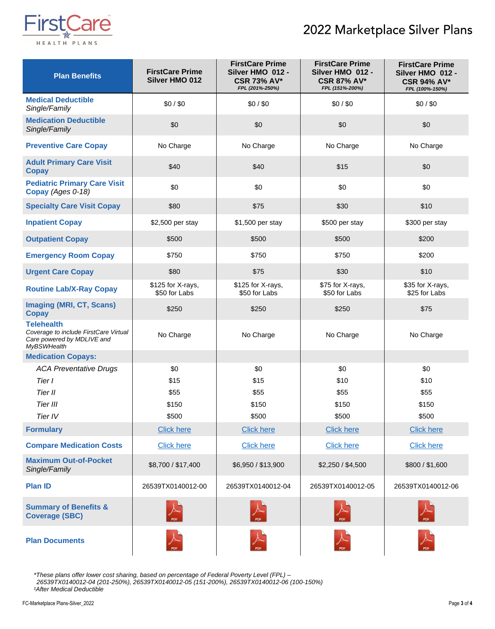## 2022 Marketplace Silver Plans



| <b>Plan Benefits</b>                                                                                           | <b>FirstCare Prime</b><br><b>Silver HMO 012</b> | <b>FirstCare Prime</b><br>Silver HMO 012 -<br><b>CSR 73% AV*</b><br>FPL (201%-250%) | <b>FirstCare Prime</b><br>Silver HMO 012 -<br><b>CSR 87% AV*</b><br>FPL (151%-200%) | <b>FirstCare Prime</b><br>Silver HMO 012 -<br><b>CSR 94% AV*</b><br>FPL (100%-150%) |
|----------------------------------------------------------------------------------------------------------------|-------------------------------------------------|-------------------------------------------------------------------------------------|-------------------------------------------------------------------------------------|-------------------------------------------------------------------------------------|
| <b>Medical Deductible</b><br>Single/Family                                                                     | \$0/\$0                                         | \$0/\$0                                                                             | \$0/\$0                                                                             | \$0/\$0                                                                             |
| <b>Medication Deductible</b><br>Single/Family                                                                  | \$0                                             | \$0                                                                                 | \$0                                                                                 | \$0                                                                                 |
| <b>Preventive Care Copay</b>                                                                                   | No Charge                                       | No Charge                                                                           | No Charge                                                                           | No Charge                                                                           |
| <b>Adult Primary Care Visit</b><br><b>Copay</b>                                                                | \$40                                            | \$40                                                                                | \$15                                                                                | \$0                                                                                 |
| <b>Pediatric Primary Care Visit</b><br>Copay (Ages 0-18)                                                       | \$0                                             | \$0                                                                                 | \$0                                                                                 | \$0                                                                                 |
| <b>Specialty Care Visit Copay</b>                                                                              | \$80                                            | \$75                                                                                | \$30                                                                                | \$10                                                                                |
| <b>Inpatient Copay</b>                                                                                         | \$2,500 per stay                                | \$1,500 per stay                                                                    | \$500 per stay                                                                      | \$300 per stay                                                                      |
| <b>Outpatient Copay</b>                                                                                        | \$500                                           | \$500                                                                               | \$500                                                                               | \$200                                                                               |
| <b>Emergency Room Copay</b>                                                                                    | \$750                                           | \$750                                                                               | \$750                                                                               | \$200                                                                               |
| <b>Urgent Care Copay</b>                                                                                       | \$80                                            | \$75                                                                                | \$30                                                                                | \$10                                                                                |
| <b>Routine Lab/X-Ray Copay</b>                                                                                 | \$125 for X-rays,<br>\$50 for Labs              | \$125 for X-rays,<br>\$50 for Labs                                                  | \$75 for X-rays,<br>\$50 for Labs                                                   | \$35 for X-rays,<br>\$25 for Labs                                                   |
| <b>Imaging (MRI, CT, Scans)</b><br><b>Copay</b>                                                                | \$250                                           | \$250                                                                               | \$250                                                                               | \$75                                                                                |
| <b>Telehealth</b><br>Coverage to include FirstCare Virtual<br>Care powered by MDLIVE and<br><b>MyBSWHealth</b> | No Charge                                       | No Charge                                                                           | No Charge                                                                           | No Charge                                                                           |
| <b>Medication Copays:</b>                                                                                      |                                                 |                                                                                     |                                                                                     |                                                                                     |
| <b>ACA Preventative Drugs</b>                                                                                  | \$0                                             | \$0                                                                                 | \$0                                                                                 | \$0                                                                                 |
| Tier I                                                                                                         | \$15                                            | \$15                                                                                | \$10                                                                                | \$10                                                                                |
| Tier II                                                                                                        | \$55                                            | \$55                                                                                | \$55                                                                                | \$55                                                                                |
| Tier III<br>Tier IV                                                                                            | \$150                                           | \$150                                                                               | \$150<br>\$500                                                                      | \$150<br>\$500                                                                      |
| <b>Formulary</b>                                                                                               | \$500<br><b>Click here</b>                      | \$500<br><b>Click here</b>                                                          | <b>Click here</b>                                                                   | <b>Click here</b>                                                                   |
|                                                                                                                |                                                 |                                                                                     |                                                                                     |                                                                                     |
| <b>Compare Medication Costs</b>                                                                                | <b>Click here</b>                               | <b>Click here</b>                                                                   | <b>Click here</b>                                                                   | <b>Click here</b>                                                                   |
| <b>Maximum Out-of-Pocket</b><br>Single/Family                                                                  | \$8,700 / \$17,400                              | \$6,950 / \$13,900                                                                  | \$2,250 / \$4,500                                                                   | \$800 / \$1,600                                                                     |
| <b>Plan ID</b>                                                                                                 | 26539TX0140012-00                               | 26539TX0140012-04                                                                   | 26539TX0140012-05                                                                   | 26539TX0140012-06                                                                   |
| <b>Summary of Benefits &amp;</b><br><b>Coverage (SBC)</b>                                                      | PDF                                             |                                                                                     |                                                                                     |                                                                                     |
| <b>Plan Documents</b>                                                                                          | PDF                                             | PDF                                                                                 | <b>PDF</b>                                                                          |                                                                                     |

*\*These plans offer lower cost sharing, based on percentage of Federal Poverty Level (FPL) –*

*26539TX0140012-04 (201-250%), 26539TX0140012-05 (151-200%), 26539TX0140012-06 (100-150%) ¹After Medical Deductible*